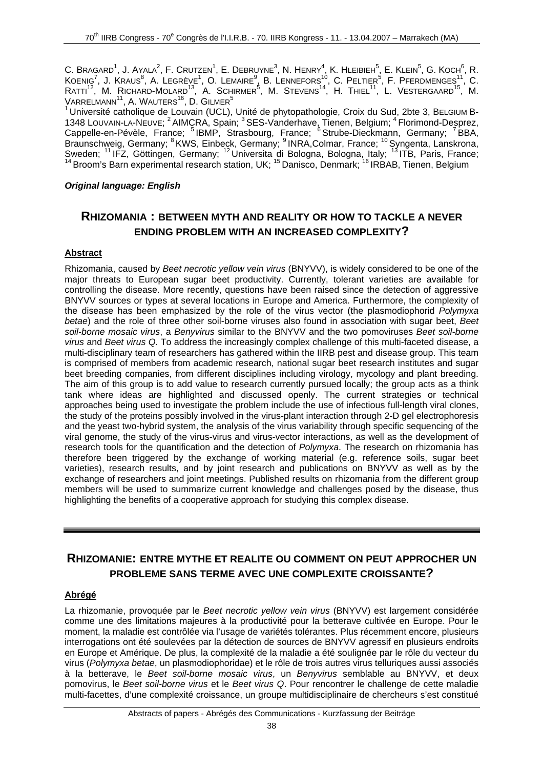$\bf{C.}$  Bragard $^1$ , J. Ayala $^2$ , F. Crutzen $^1$ , E. Debruyne $^3$ , N. Henry $^4$ , K. Hleibieh $^5$ , E. Klein $^5$ , G. Koch $^6$ , R.  $\mathsf{K}$ oenig $^7$ , J. Kraus $^8$ , A. Legrève $^1$ , O. Lemaire $^9$ , B. Lennefors $^{10}$ , C. Peltier $^5$ , F. Pferdmenges $^{11}$ , C.  $R$ atti $^{12}$ , M. Richard-Molard $^{13}$ , A. Schirmer $^5$ , M. Stevens $^{14}$ , H. Thiel $^{11}$ , L. Vestergaard $^{15}$ , M.  $\mathsf{V}$ ARRELMANN $^{11}$ ,  $\mathsf{A}.$  Wauters $^{16}$ ,  $\mathsf{D}.$  Gilmer $^5$ 

 $1$ Université catholique de Louvain (UCL), Unité de phytopathologie, Croix du Sud, 2bte 3, BELGIUM B-1348 LOUVAIN-LA-NEUVE; <sup>2</sup> AIMCRA, Spain; <sup>3</sup> SES-Vanderhave, Tienen, Belgium; <sup>4</sup> Florimond-Desprez, Cappelle-en-Pévèle, France; <sup>5</sup> IBMP, Strasbourg, France; <sup>6</sup> Strube-Dieckmann, Germany; <sup>7</sup> BBA, Braunschweig, Germany; <sup>8</sup> KWS, Einbeck, Germany; <sup>9</sup> INRA,Colmar, France; <sup>10</sup> Syngenta, Lanskrona, Sweden; <sup>11</sup> IFZ, Göttingen, Germany; <sup>12</sup> Universita di Bologna, Bologna, Italy; <sup>13</sup> ITB, Paris, France; <sup>14</sup> Broom's Barn experimental research station, UK; <sup>15</sup> Danisco, Denmark; <sup>16</sup> IRBAB, Tienen, Belgium

### *Original language: English*

## **RHIZOMANIA : BETWEEN MYTH AND REALITY OR HOW TO TACKLE A NEVER ENDING PROBLEM WITH AN INCREASED COMPLEXITY?**

## **Abstract**

Rhizomania, caused by *Beet necrotic yellow vein virus* (BNYVV), is widely considered to be one of the major threats to European sugar beet productivity. Currently, tolerant varieties are available for controlling the disease. More recently, questions have been raised since the detection of aggressive BNYVV sources or types at several locations in Europe and America. Furthermore, the complexity of the disease has been emphasized by the role of the virus vector (the plasmodiophorid *Polymyxa betae*) and the role of three other soil-borne viruses also found in association with sugar beet, *Beet soil-borne mosaic virus*, a *Benyvirus* similar to the BNYVV and the two pomoviruses *Beet soil-borne virus* and *Beet virus Q.* To address the increasingly complex challenge of this multi-faceted disease, a multi-disciplinary team of researchers has gathered within the IIRB pest and disease group. This team is comprised of members from academic research, national sugar beet research institutes and sugar beet breeding companies, from different disciplines including virology, mycology and plant breeding. The aim of this group is to add value to research currently pursued locally; the group acts as a think tank where ideas are highlighted and discussed openly. The current strategies or technical approaches being used to investigate the problem include the use of infectious full-length viral clones, the study of the proteins possibly involved in the virus-plant interaction through 2-D gel electrophoresis and the yeast two-hybrid system, the analysis of the virus variability through specific sequencing of the viral genome, the study of the virus-virus and virus-vector interactions, as well as the development of research tools for the quantification and the detection of *Polymyxa*. The research on rhizomania has therefore been triggered by the exchange of working material (e.g. reference soils, sugar beet varieties), research results, and by joint research and publications on BNYVV as well as by the exchange of researchers and joint meetings. Published results on rhizomania from the different group members will be used to summarize current knowledge and challenges posed by the disease, thus highlighting the benefits of a cooperative approach for studying this complex disease.

## **RHIZOMANIE: ENTRE MYTHE ET REALITE OU COMMENT ON PEUT APPROCHER UN PROBLEME SANS TERME AVEC UNE COMPLEXITE CROISSANTE?**

#### **Abrégé**

La rhizomanie, provoquée par le *Beet necrotic yellow vein virus* (BNYVV) est largement considérée comme une des limitations majeures à la productivité pour la betterave cultivée en Europe. Pour le moment, la maladie est contrôlée via l'usage de variétés tolérantes. Plus récemment encore, plusieurs interrogations ont été soulevées par la détection de sources de BNYVV agressif en plusieurs endroits en Europe et Amérique. De plus, la complexité de la maladie a été soulignée par le rôle du vecteur du virus (*Polymyxa betae*, un plasmodiophoridae) et le rôle de trois autres virus telluriques aussi associés à la betterave, le *Beet soil-borne mosaic virus*, un *Benyvirus* semblable au BNYVV, et deux pomovirus, le *Beet soil-borne virus* et le *Beet virus Q*. Pour rencontrer le challenge de cette maladie multi-facettes, d'une complexité croissance, un groupe multidisciplinaire de chercheurs s'est constitué